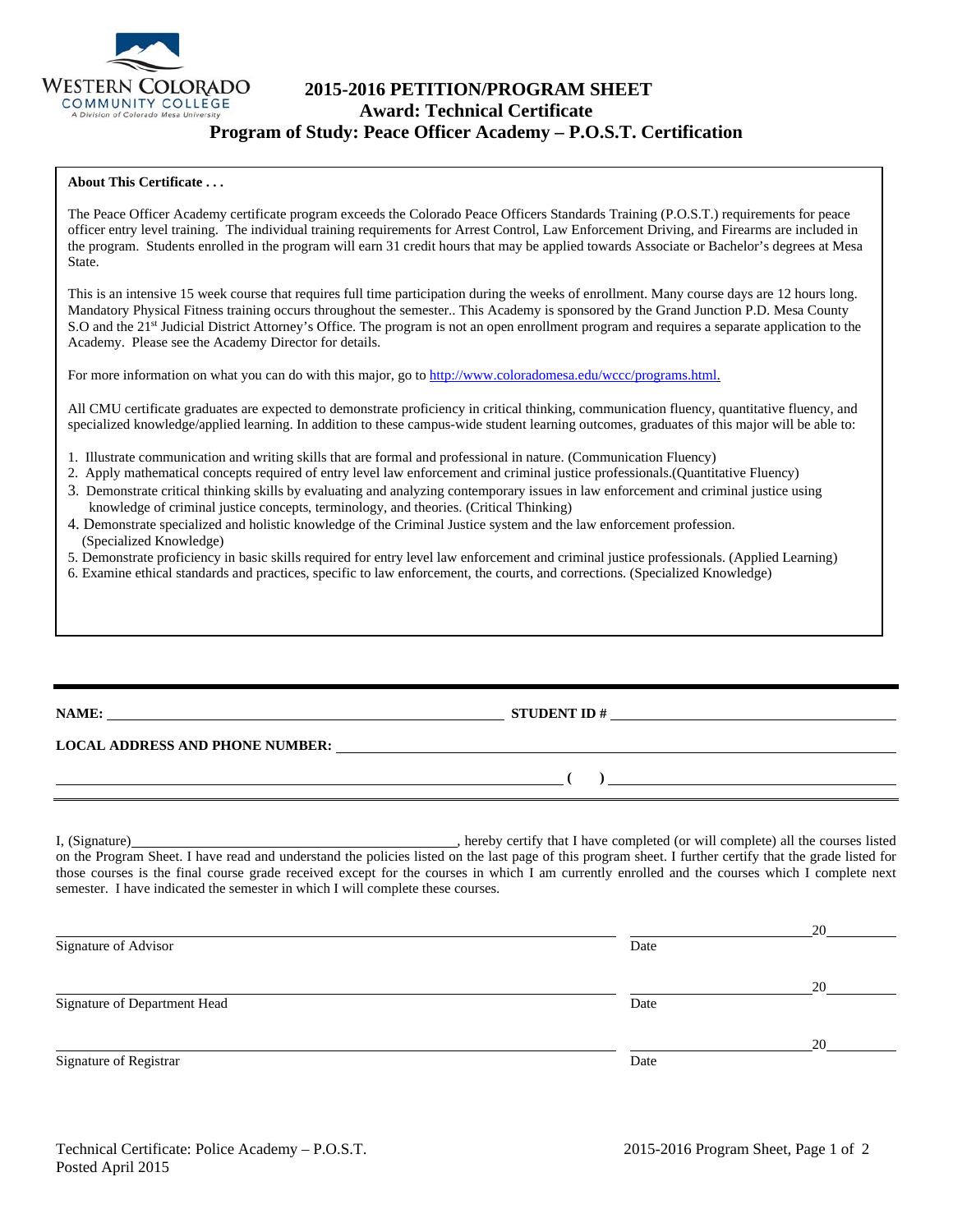

# **2015-2016 PETITION/PROGRAM SHEET Award: Technical Certificate Program of Study: Peace Officer Academy – P.O.S.T. Certification**

### **About This Certificate . . .**

The Peace Officer Academy certificate program exceeds the Colorado Peace Officers Standards Training (P.O.S.T.) requirements for peace officer entry level training. The individual training requirements for Arrest Control, Law Enforcement Driving, and Firearms are included in the program. Students enrolled in the program will earn 31 credit hours that may be applied towards Associate or Bachelor's degrees at Mesa State.

This is an intensive 15 week course that requires full time participation during the weeks of enrollment. Many course days are 12 hours long. Mandatory Physical Fitness training occurs throughout the semester.. This Academy is sponsored by the Grand Junction P.D. Mesa County S.O and the 21<sup>st</sup> Judicial District Attorney's Office. The program is not an open enrollment program and requires a separate application to the Academy. Please see the Academy Director for details.

For more information on what you can do with this major, go to http://www.coloradomesa.edu/wccc/programs.html.

All CMU certificate graduates are expected to demonstrate proficiency in critical thinking, communication fluency, quantitative fluency, and specialized knowledge/applied learning. In addition to these campus-wide student learning outcomes, graduates of this major will be able to:

- 1. Illustrate communication and writing skills that are formal and professional in nature. (Communication Fluency)
- 2. Apply mathematical concepts required of entry level law enforcement and criminal justice professionals.(Quantitative Fluency)
- 3. Demonstrate critical thinking skills by evaluating and analyzing contemporary issues in law enforcement and criminal justice using knowledge of criminal justice concepts, terminology, and theories. (Critical Thinking)
- 4. Demonstrate specialized and holistic knowledge of the Criminal Justice system and the law enforcement profession. (Specialized Knowledge)
- 5. Demonstrate proficiency in basic skills required for entry level law enforcement and criminal justice professionals. (Applied Learning)
- 6. Examine ethical standards and practices, specific to law enforcement, the courts, and corrections. (Specialized Knowledge)

|                                        | <u> 1989 - John Stone, Amerikaansk politiker (</u> † 1920) |
|----------------------------------------|------------------------------------------------------------|
| <b>LOCAL ADDRESS AND PHONE NUMBER:</b> |                                                            |
|                                        |                                                            |

I, (Signature) **Solution** , hereby certify that I have completed (or will complete) all the courses listed on the Program Sheet. I have read and understand the policies listed on the last page of this program sheet. I further certify that the grade listed for those courses is the final course grade received except for the courses in which I am currently enrolled and the courses which I complete next semester. I have indicated the semester in which I will complete these courses.

|                              |      | 20 |
|------------------------------|------|----|
| Signature of Advisor         | Date |    |
|                              |      | 20 |
| Signature of Department Head | Date |    |
|                              |      | 20 |
| Signature of Registrar       | Date |    |